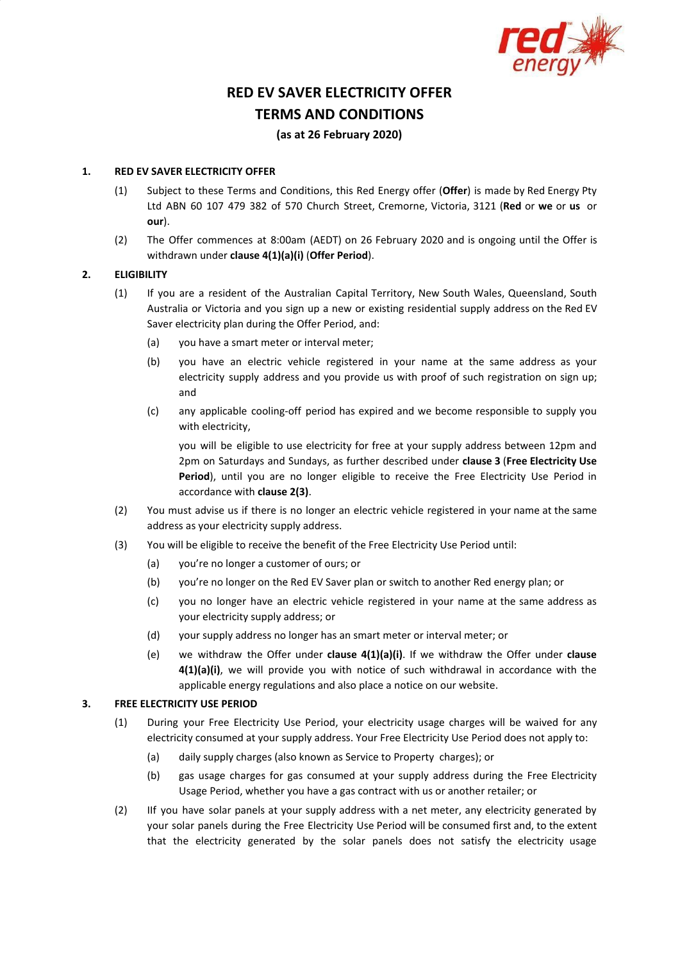

# **RED EV SAVER ELECTRICITY OFFER TERMS AND CONDITIONS**

## **(as at 26 February 2020)**

#### **1. RED EV SAVER ELECTRICITY OFFER**

- (1) Subject to these Terms and Conditions, this Red Energy offer (**Offer**) is made by Red Energy Pty Ltd ABN 60 107 479 382 of 570 Church Street, Cremorne, Victoria, 3121 (**Red** or **we** or **us** or **our**).
- (2) The Offer commences at 8:00am (AEDT) on 26 February 2020 and is ongoing until the Offer is withdrawn under **clause 4(1)(a)(i)** (**Offer Period**).

#### **2. ELIGIBILITY**

- (1) If you are a resident of the Australian Capital Territory, New South Wales, Queensland, South Australia or Victoria and you sign up a new or existing residential supply address on the Red EV Saver electricity plan during the Offer Period, and:
	- (a) you have a smart meter or interval meter;
	- (b) you have an electric vehicle registered in your name at the same address as your electricity supply address and you provide us with proof of such registration on sign up; and
	- (c) any applicable cooling-off period has expired and we become responsible to supply you with electricity,

you will be eligible to use electricity for free at your supply address between 12pm and 2pm on Saturdays and Sundays, as further described under **clause 3** (**Free Electricity Use Period**), until you are no longer eligible to receive the Free Electricity Use Period in accordance with **clause 2(3)**.

- (2) You must advise us if there is no longer an electric vehicle registered in your name at the same address as your electricity supply address.
- (3) You will be eligible to receive the benefit of the Free Electricity Use Period until:
	- (a) you're no longer a customer of ours; or
	- (b) you're no longer on the Red EV Saver plan or switch to another Red energy plan; or
	- (c) you no longer have an electric vehicle registered in your name at the same address as your electricity supply address; or
	- (d) your supply address no longer has an smart meter or interval meter; or
	- (e) we withdraw the Offer under **clause 4(1)(a)(i)**. If we withdraw the Offer under **clause 4(1)(a)(i)**, we will provide you with notice of such withdrawal in accordance with the applicable energy regulations and also place a notice on our website.

#### **3. FREE ELECTRICITY USE PERIOD**

- (1) During your Free Electricity Use Period, your electricity usage charges will be waived for any electricity consumed at your supply address. Your Free Electricity Use Period does not apply to:
	- (a) daily supply charges (also known as Service to Property charges); or
	- (b) gas usage charges for gas consumed at your supply address during the Free Electricity Usage Period, whether you have a gas contract with us or another retailer; or
- (2) IIf you have solar panels at your supply address with a net meter, any electricity generated by your solar panels during the Free Electricity Use Period will be consumed first and, to the extent that the electricity generated by the solar panels does not satisfy the electricity usage